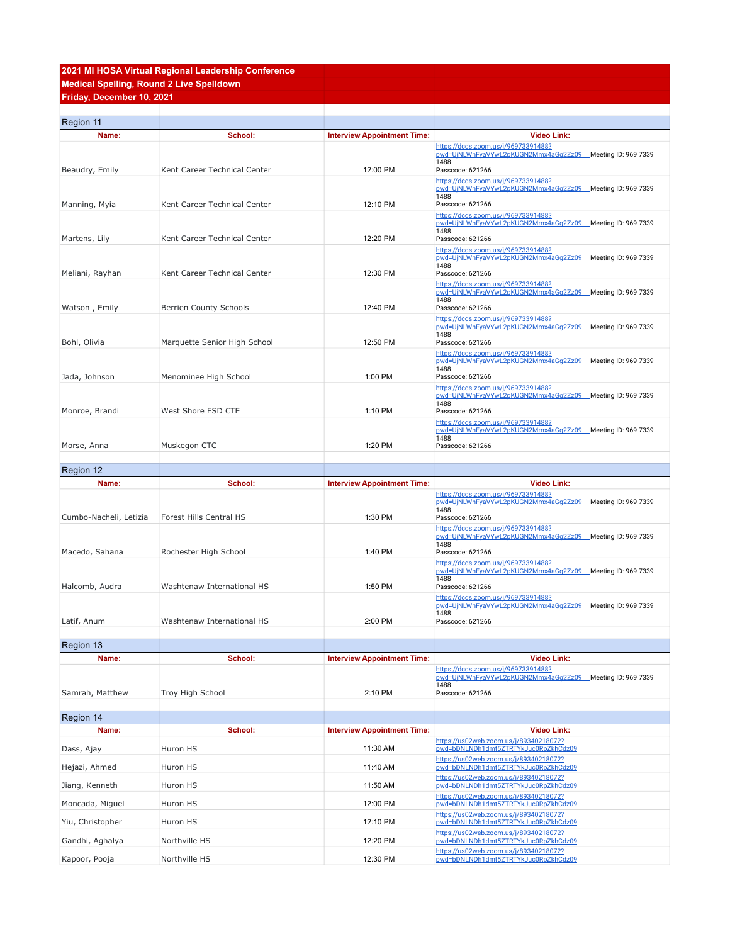## **2021 MI HOSA Virtual Regional Leadership Conference Medical Spelling, Round 2 Live Spelldown Friday, December 10, 2021**

| Region 11              |                              |                                    |                                                                                                                               |
|------------------------|------------------------------|------------------------------------|-------------------------------------------------------------------------------------------------------------------------------|
| Name:                  | School:                      | <b>Interview Appointment Time:</b> | <b>Video Link:</b>                                                                                                            |
|                        |                              |                                    | https://dcds.zoom.us/j/96973391488?<br>pwd=UjNLWnFyaVYwL2pKUGN2Mmx4aGg2Zz09 Meeting ID: 969 7339<br>1488                      |
| Beaudry, Emily         | Kent Career Technical Center | 12:00 PM                           | Passcode: 621266                                                                                                              |
|                        |                              |                                    | https://dcds.zoom.us/j/96973391488?<br>pwd=UjNLWnFyaVYwL2pKUGN2Mmx4aGg2Zz09 Meeting ID: 969 7339<br>1488                      |
| Manning, Myia          | Kent Career Technical Center | 12:10 PM                           | Passcode: 621266                                                                                                              |
|                        |                              |                                    | https://dcds.zoom.us/j/96973391488?<br>pwd=UjNLWnFyaVYwL2pKUGN2Mmx4aGg2Zz09 Meeting ID: 969 7339<br>1488                      |
| Martens, Lily          | Kent Career Technical Center | 12:20 PM                           | Passcode: 621266<br>https://dcds.zoom.us/j/96973391488?                                                                       |
| Meliani, Rayhan        | Kent Career Technical Center | 12:30 PM                           | pwd=UjNLWnFyaVYwL2pKUGN2Mmx4aGq2Zz09 Meeting ID: 969 7339<br>1488<br>Passcode: 621266                                         |
| Watson, Emily          | Berrien County Schools       | 12:40 PM                           | https://dcds.zoom.us/j/96973391488?<br>pwd=UjNLWnFyaVYwL2pKUGN2Mmx4aGq2Zz09 _Meeting ID: 969 7339<br>1488<br>Passcode: 621266 |
|                        |                              |                                    | https://dcds.zoom.us/j/96973391488?                                                                                           |
| Bohl, Olivia           | Marquette Senior High School | 12:50 PM                           | pwd=UjNLWnFyaVYwL2pKUGN2Mmx4aGg2Zz09 Meeting ID: 969 7339<br>1488<br>Passcode: 621266                                         |
|                        |                              |                                    | https://dcds.zoom.us/j/96973391488?<br>pwd=UjNLWnFyaVYwL2pKUGN2Mmx4aGg2Zz09 Meeting ID: 969 7339                              |
|                        | Menominee High School        | 1:00 PM                            | 1488<br>Passcode: 621266                                                                                                      |
| Jada, Johnson          |                              |                                    | https://dcds.zoom.us/j/96973391488?                                                                                           |
|                        |                              |                                    | pwd=UjNLWnFyaVYwL2pKUGN2Mmx4aGg2Zz09 Meeting ID: 969 7339<br>1488                                                             |
| Monroe, Brandi         | West Shore ESD CTE           | 1:10 PM                            | Passcode: 621266                                                                                                              |
| Morse, Anna            | Muskegon CTC                 | 1:20 PM                            | https://dcds.zoom.us/j/96973391488?<br>pwd=UjNLWnFyaVYwL2pKUGN2Mmx4aGg2Zz09 Meeting ID: 969 7339<br>1488<br>Passcode: 621266  |
| Region 12              |                              |                                    |                                                                                                                               |
| Name:                  | School:                      | <b>Interview Appointment Time:</b> | <b>Video Link:</b>                                                                                                            |
|                        |                              |                                    | https://dcds.zoom.us/j/96973391488?                                                                                           |
| Cumbo-Nacheli, Letizia | Forest Hills Central HS      | 1:30 PM                            | pwd=UjNLWnFyaVYwL2pKUGN2Mmx4aGg2Zz09 Meeting ID: 969 7339<br>1488<br>Passcode: 621266                                         |
|                        |                              |                                    | https://dcds.zoom.us/j/96973391488?<br>pwd=UjNLWnFyaVYwL2pKUGN2Mmx4aGg2Zz09 Meeting ID: 969 7339<br>1488                      |
| Macedo, Sahana         | Rochester High School        | 1:40 PM                            | Passcode: 621266                                                                                                              |
|                        |                              |                                    | https://dcds.zoom.us/j/96973391488?<br>pwd=UjNLWnFyaVYwL2pKUGN2Mmx4aGq2Zz09 Meeting ID: 969 7339<br>1488                      |
| Halcomb, Audra         | Washtenaw International HS   | 1:50 PM                            | Passcode: 621266                                                                                                              |
| Latif, Anum            | Washtenaw International HS   | 2:00 PM                            | https://dcds.zoom.us/j/96973391488?<br>pwd=UjNLWnFyaVYwL2pKUGN2Mmx4aGq2Zz09 Meeting ID: 969 7339<br>1488<br>Passcode: 621266  |
|                        |                              |                                    |                                                                                                                               |
| Region 13              |                              |                                    |                                                                                                                               |
| Name:                  | School:                      | <b>Interview Appointment Time:</b> | <b>Video Link:</b><br>https://dcds.zoom.us/j/96973391488?                                                                     |
| Samrah, Matthew        | Troy High School             | 2:10 PM                            | pwd=UjNLWnFyaVYwL2pKUGN2Mmx4aGg2Zz09 Meeting ID: 969 7339<br>1488<br>Passcode: 621266                                         |
|                        |                              |                                    |                                                                                                                               |
| Region 14              |                              |                                    |                                                                                                                               |
| Name:                  | School:                      | <b>Interview Appointment Time:</b> | <b>Video Link:</b><br>https://us02web.zoom.us/j/89340218072?                                                                  |
| Dass, Ajay             | Huron HS                     | 11:30 AM                           | pwd=bDNLNDh1dmt5ZTRTYkJuc0RpZkhCdz09                                                                                          |
| Hejazi, Ahmed          | Huron HS                     | 11:40 AM                           | https://us02web.zoom.us/j/89340218072?<br>pwd=bDNLNDh1dmt5ZTRTYkJuc0RpZkhCdz09                                                |
| Jiang, Kenneth         | Huron HS                     | 11:50 AM                           | https://us02web.zoom.us/j/89340218072?<br>pwd=bDNLNDh1dmt5ZTRTYkJuc0RpZkhCdz09                                                |
| Moncada, Miguel        | Huron HS                     | 12:00 PM                           | https://us02web.zoom.us/j/89340218072?<br>pwd=bDNLNDh1dmt5ZTRTYkJuc0RpZkhCdz09                                                |
| Yiu, Christopher       | Huron HS                     | 12:10 PM                           | https://us02web.zoom.us/j/89340218072?<br>pwd=bDNLNDh1dmt5ZTRTYkJuc0RpZkhCdz09                                                |
| Gandhi, Aghalya        | Northville HS                | 12:20 PM                           | https://us02web.zoom.us/j/89340218072?<br>pwd=bDNLNDh1dmt5ZTRTYkJuc0RpZkhCdz09                                                |
| Kapoor, Pooja          | Northville HS                | 12:30 PM                           | https://us02web.zoom.us/j/89340218072?<br>pwd=bDNLNDh1dmt5ZTRTYkJuc0RpZkhCdz09                                                |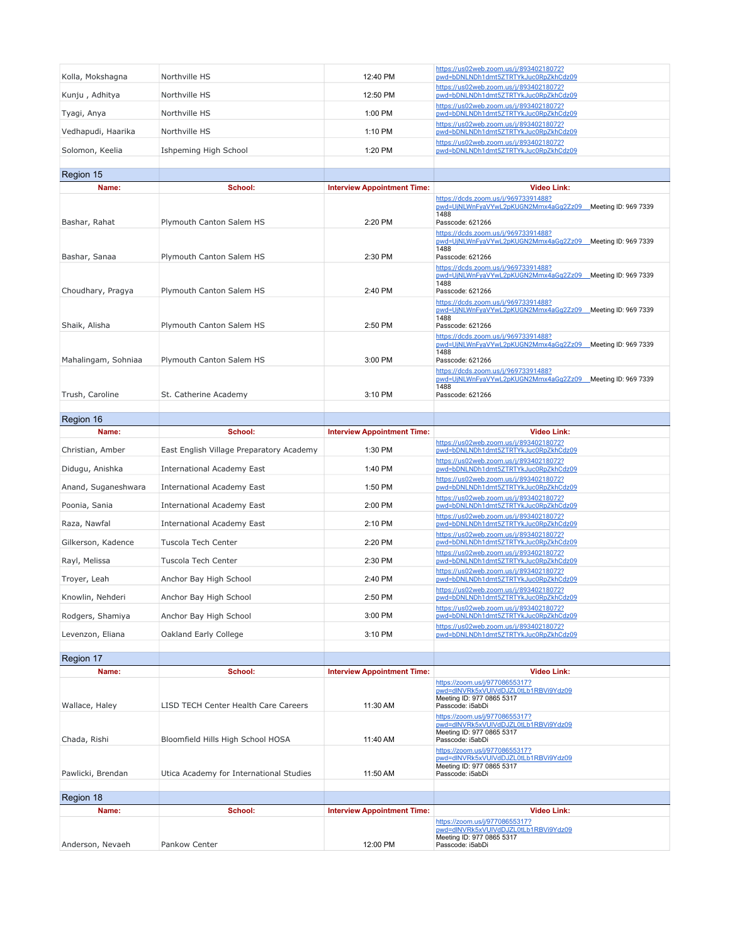| Kolla, Mokshagna    | Northville HS                            | 12:40 PM                           | https://us02web.zoom.us/j/89340218072?<br>pwd=bDNLNDh1dmt5ZTRTYkJuc0RpZkhCdz09                                               |
|---------------------|------------------------------------------|------------------------------------|------------------------------------------------------------------------------------------------------------------------------|
| Kunju, Adhitya      | Northville HS                            | 12:50 PM                           | https://us02web.zoom.us/j/89340218072?<br>pwd=bDNLNDh1dmt5ZTRTYkJuc0RpZkhCdz09                                               |
| Tyagi, Anya         | Northville HS                            | 1:00 PM                            | https://us02web.zoom.us/j/89340218072?<br>pwd=bDNLNDh1dmt5ZTRTYkJuc0RpZkhCdz09                                               |
| Vedhapudi, Haarika  | Northville HS                            | 1:10 PM                            | https://us02web.zoom.us/j/89340218072?<br>pwd=bDNLNDh1dmt5ZTRTYkJuc0RpZkhCdz09                                               |
| Solomon, Keelia     | Ishpeming High School                    | 1:20 PM                            | https://us02web.zoom.us/j/89340218072?<br>pwd=bDNLNDh1dmt5ZTRTYkJuc0RpZkhCdz09                                               |
|                     |                                          |                                    |                                                                                                                              |
| Region 15           |                                          |                                    |                                                                                                                              |
| Name:               | School:                                  | <b>Interview Appointment Time:</b> | <b>Video Link:</b><br>https://dcds.zoom.us/j/96973391488?                                                                    |
| Bashar, Rahat       | Plymouth Canton Salem HS                 | 2:20 PM                            | pwd=UjNLWnFyaVYwL2pKUGN2Mmx4aGg2Zz09 Meeting ID: 969 7339<br>1488<br>Passcode: 621266                                        |
| Bashar, Sanaa       | Plymouth Canton Salem HS                 | 2:30 PM                            | https://dcds.zoom.us/j/96973391488?<br>pwd=UjNLWnFyaVYwL2pKUGN2Mmx4aGg2Zz09 Meeting ID: 969 7339<br>1488<br>Passcode: 621266 |
| Choudhary, Pragya   | Plymouth Canton Salem HS                 | 2:40 PM                            | https://dcds.zoom.us/j/96973391488?<br>pwd=UjNLWnFyaVYwL2pKUGN2Mmx4aGq2Zz09 Meeting ID: 969 7339<br>1488<br>Passcode: 621266 |
| Shaik, Alisha       | Plymouth Canton Salem HS                 | 2:50 PM                            | https://dcds.zoom.us/j/96973391488?<br>pwd=UjNLWnFyaVYwL2pKUGN2Mmx4aGq2Zz09 Meeting ID: 969 7339<br>1488<br>Passcode: 621266 |
| Mahalingam, Sohniaa | Plymouth Canton Salem HS                 | 3:00 PM                            | https://dcds.zoom.us/j/96973391488?<br>pwd=UjNLWnFyaVYwL2pKUGN2Mmx4aGq2Zz09 Meeting ID: 969 7339<br>1488<br>Passcode: 621266 |
| Trush, Caroline     | St. Catherine Academy                    | 3:10 PM                            | https://dcds.zoom.us/j/96973391488?<br>pwd=UiNLWnFvaVYwL2pKUGN2Mmx4aGq2Zz09 Meeting ID: 969 7339<br>1488<br>Passcode: 621266 |
| Region 16           |                                          |                                    |                                                                                                                              |
| Name:               | School:                                  | <b>Interview Appointment Time:</b> | <b>Video Link:</b>                                                                                                           |
| Christian, Amber    | East English Village Preparatory Academy | 1:30 PM                            | https://us02web.zoom.us/j/89340218072?<br>pwd=bDNLNDh1dmt5ZTRTYkJuc0RpZkhCdz09                                               |
| Didugu, Anishka     | International Academy East               | 1:40 PM                            | https://us02web.zoom.us/j/89340218072?<br>pwd=bDNLNDh1dmt5ZTRTYkJuc0RpZkhCdz09                                               |
| Anand, Suganeshwara | International Academy East               | 1:50 PM                            | https://us02web.zoom.us/j/89340218072?<br>pwd=bDNLNDh1dmt5ZTRTYkJuc0RpZkhCdz09                                               |
| Poonia, Sania       | International Academy East               | 2:00 PM                            | https://us02web.zoom.us/j/89340218072?<br>pwd=bDNLNDh1dmt5ZTRTYkJuc0RpZkhCdz09                                               |
| Raza, Nawfal        | <b>International Academy East</b>        | 2:10 PM                            | https://us02web.zoom.us/j/89340218072?<br>pwd=bDNLNDh1dmt5ZTRTYkJuc0RpZkhCdz09                                               |
| Gilkerson, Kadence  | Tuscola Tech Center                      | 2:20 PM                            | https://us02web.zoom.us/j/89340218072?<br>pwd=bDNLNDh1dmt5ZTRTYkJuc0RpZkhCdz09                                               |
| Rayl, Melissa       | Tuscola Tech Center                      | 2:30 PM                            | https://us02web.zoom.us/j/89340218072?<br>pwd=bDNLNDh1dmt5ZTRTYkJuc0RpZkhCdz09                                               |
| Troyer, Leah        | Anchor Bay High School                   | 2:40 PM                            | https://us02web.zoom.us/j/89340218072?<br>pwd=bDNLNDh1dmt5ZTRTYkJuc0RpZkhCdz09                                               |
| Knowlin, Nehderi    | Anchor Bay High School                   | 2:50 PM                            | https://us02web.zoom.us/j/89340218072?<br>pwd=bDNLNDh1dmt5ZTRTYkJuc0RpZkhCdz09                                               |
| Rodgers, Shamiya    | Anchor Bay High School                   | 3:00 PM                            | https://us02web.zoom.us/j/89340218072?<br>pwd=bDNLNDh1dmt5ZTRTYkJuc0RpZkhCdz09                                               |
| Levenzon, Eliana    | Oakland Early College                    | 3:10 PM                            | https://us02web.zoom.us/j/89340218072?<br>pwd=bDNLNDh1dmt5ZTRTYkJuc0RpZkhCdz09                                               |
| Region 17           |                                          |                                    |                                                                                                                              |
| Name:               | School:                                  | <b>Interview Appointment Time:</b> | <b>Video Link:</b>                                                                                                           |
| Wallace, Haley      | LISD TECH Center Health Care Careers     | 11:30 AM                           | https://zoom.us/j/97708655317?<br>pwd=dlNVRk5xVUIVdDJZL0tLb1RBVi9Ydz09<br>Meeting ID: 977 0865 5317<br>Passcode: i5abDi      |
| Chada, Rishi        | Bloomfield Hills High School HOSA        | 11:40 AM                           | https://zoom.us/j/97708655317?<br>pwd=dlNVRk5xVUIVdDJZL0tLb1RBVi9Ydz09<br>Meeting ID: 977 0865 5317<br>Passcode: i5abDi      |
| Pawlicki, Brendan   | Utica Academy for International Studies  | 11:50 AM                           | https://zoom.us/j/97708655317?<br>pwd=dlNVRk5xVUIVdDJZL0tLb1RBVi9Ydz09<br>Meeting ID: 977 0865 5317<br>Passcode: i5abDi      |
| Region 18           |                                          |                                    |                                                                                                                              |
| Name:               | School:                                  | <b>Interview Appointment Time:</b> | <b>Video Link:</b>                                                                                                           |
| Anderson, Nevaeh    | Pankow Center                            | 12:00 PM                           | https://zoom.us/j/97708655317?<br>pwd=dlNVRk5xVUIVdDJZL0tLb1RBVi9Ydz09<br>Meeting ID: 977 0865 5317<br>Passcode: i5abDi      |
|                     |                                          |                                    |                                                                                                                              |